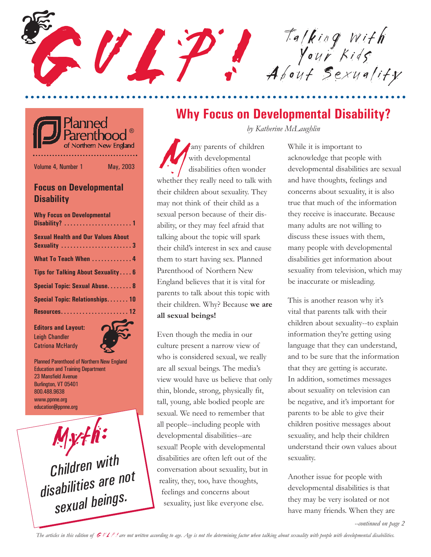GU LT Ta *king* with Your Kids About Sexuality R. PO



Volume 4, Number 1 May, 2003

#### **Focus on Developmental Disability**

| <b>Why Focus on Developmental</b>                        |
|----------------------------------------------------------|
| <b>Sexual Health and Our Values About</b><br>Sexuality 3 |
| What To Teach When  4                                    |
| Tips for Talking About Sexuality 6                       |
| Special Topic: Sexual Abuse 8                            |
| Special Topic: Relationships10                           |
| Resources12                                              |

**Editors and Layout:** Leigh Chandler



Planned Parenthood of Northern New England Education and Training Department 23 Mansfield Avenue Burlington, VT 05401 800.488.9638 www.ppnne.org education@ppnne.org

Myth: Myth: *Children with Children with disabilities are not disabilities are not sexual beings. sexual beings.*

### **Why Focus on Developmental Disability?**

*by Katherine McLaughlin*

Many parents of children<br>
with developmental<br>
whether they really need to talk with with developmental disabilities often wonder their children about sexuality. They may not think of their child as a sexual person because of their disability, or they may feel afraid that talking about the topic will spark their child's interest in sex and cause them to start having sex. Planned Parenthood of Northern New England believes that it is vital for parents to talk about this topic with their children. Why? Because **we are all sexual beings!**

Even though the media in our culture present a narrow view of who is considered sexual, we really are all sexual beings. The media's view would have us believe that only thin, blonde, strong, physically fit, tall, young, able bodied people are sexual. We need to remember that all people--including people with developmental disabilities--are sexual! People with developmental disabilities are often left out of the conversation about sexuality, but in reality, they, too, have thoughts, feelings and concerns about sexuality, just like everyone else.

While it is important to acknowledge that people with developmental disabilities are sexual and have thoughts, feelings and concerns about sexuality, it is also true that much of the information they receive is inaccurate. Because many adults are not willing to discuss these issues with them, many people with developmental disabilities get information about sexuality from television, which may be inaccurate or misleading.

This is another reason why it's vital that parents talk with their children about sexuality--to explain information they're getting using language that they can understand, and to be sure that the information that they are getting is accurate. In addition, sometimes messages about sexuality on television can be negative, and it's important for parents to be able to give their children positive messages about sexuality, and help their children understand their own values about sexuality.

Another issue for people with developmental disabilities is that they may be very isolated or not have many friends. When they are

*--continued on page 2*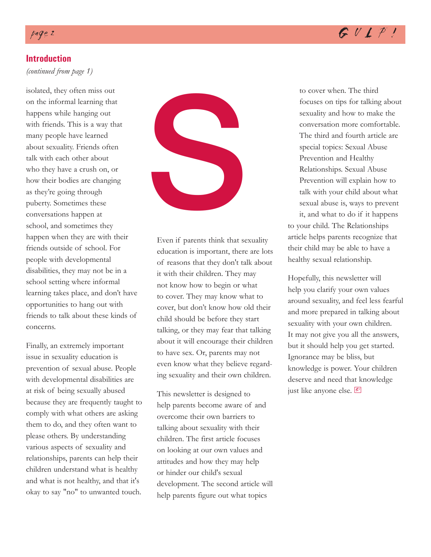#### **Introduction**

*(continued from page 1)*

isolated, they often miss out on the informal learning that happens while hanging out with friends. This is a way that many people have learned about sexuality. Friends often talk with each other about who they have a crush on, or how their bodies are changing as they're going through puberty. Sometimes these conversations happen at school, and sometimes they happen when they are with their friends outside of school. For people with developmental disabilities, they may not be in a school setting where informal learning takes place, and don't have opportunities to hang out with friends to talk about these kinds of concerns.

Finally, an extremely important issue in sexuality education is prevention of sexual abuse. People with developmental disabilities are at risk of being sexually abused because they are frequently taught to comply with what others are asking them to do, and they often want to please others. By understanding various aspects of sexuality and relationships, parents can help their children understand what is healthy and what is not healthy, and that it's okay to say "no" to unwanted touch.



Even if parents think that sexuality education is important, there are lots of reasons that they don't talk about it with their children. They may not know how to begin or what to cover. They may know what to cover, but don't know how old their child should be before they start talking, or they may fear that talking about it will encourage their children to have sex. Or, parents may not even know what they believe regarding sexuality and their own children.

This newsletter is designed to help parents become aware of and overcome their own barriers to talking about sexuality with their children. The first article focuses on looking at our own values and attitudes and how they may help or hinder our child's sexual development. The second article will help parents figure out what topics

to cover when. The third focuses on tips for talking about sexuality and how to make the conversation more comfortable. The third and fourth article are special topics: Sexual Abuse Prevention and Healthy Relationships. Sexual Abuse Prevention will explain how to talk with your child about what sexual abuse is, ways to prevent it, and what to do if it happens

to your child. The Relationships article helps parents recognize that their child may be able to have a healthy sexual relationship.

Hopefully, this newsletter will help you clarify your own values around sexuality, and feel less fearful and more prepared in talking about sexuality with your own children. It may not give you all the answers, but it should help you get started. Ignorance may be bliss, but knowledge is power. Your children deserve and need that knowledge just like anyone else. Ø

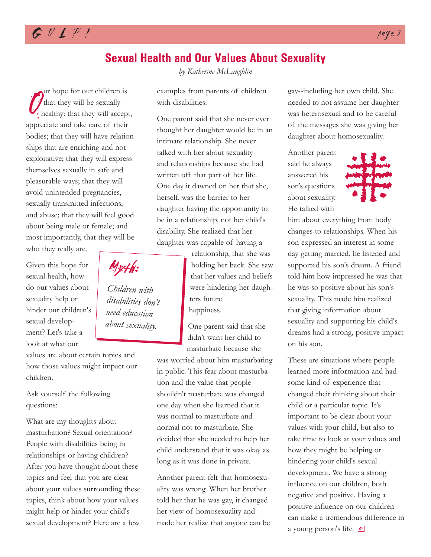

## **Sexual Health and Our Values About Sexuality**

That they will be sexually<br>
healthy: that they will accept<br>
appreciate and take care of their ur hope for our children is that they will be sexually healthy: that they will accept,

bodies; that they will have relationships that are enriching and not exploitative; that they will express themselves sexually in safe and pleasurable ways; that they will avoid unintended pregnancies, sexually transmitted infections, and abuse; that they will feel good about being male or female; and most importantly, that they will be

who they really are.

Given this hope for sexual health, how do our values about sexuality help or hinder our children's sexual development? Let's take a look at what our

values are about certain topics and how those values might impact our children.

Ask yourself the following questions:

What are my thoughts about masturbation? Sexual orientation? People with disabilities being in relationships or having children? After you have thought about these topics and feel that you are clear about your values surrounding these topics, think about how your values might help or hinder your child's sexual development? Here are a few

*by Katherine McLaughlin*

examples from parents of children with disabilities:

One parent said that she never ever thought her daughter would be in an intimate relationship. She never talked with her about sexuality and relationships because she had written off that part of her life. One day it dawned on her that she, herself, was the barrier to her daughter having the opportunity to be in a relationship, not her child's disability. She realized that her daughter was capable of having a

> relationship, that she was holding her back. She saw that her values and beliefs were hindering her daughters future happiness.

One parent said that she didn't want her child to masturbate because she

was worried about him masturbating in public. This fear about masturbation and the value that people shouldn't masturbate was changed one day when she learned that it was normal to masturbate and normal not to masturbate. She decided that she needed to help her child understand that it was okay as long as it was done in private.

Another parent felt that homosexuality was wrong. When her brother told her that he was gay, it changed her view of homosexuality and made her realize that anyone can be gay--including her own child. She needed to not assume her daughter was heterosexual and to be careful of the messages she was giving her daughter about homosexuality.

Another parent said he always answered his son's questions about sexuality. He talked with



him about everything from body changes to relationships. When his son expressed an interest in some day getting married, he listened and supported his son's dream. A friend told him how impressed he was that he was so positive about his son's sexuality. This made him realized that giving information about sexuality and supporting his child's dreams had a strong, positive impact on his son.

These are situations where people learned more information and had some kind of experience that changed their thinking about their child or a particular topic. It's important to be clear about your values with your child, but also to take time to look at your values and how they might be helping or hindering your child's sexual development. We have a strong influence on our children, both negative and positive. Having a positive influence on our children can make a tremendous difference in a young person's life.

Myth: *Children with disabilities don't*

*need education about sexuality.*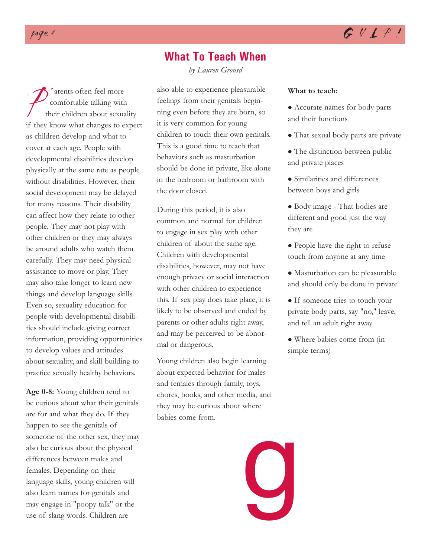### **What To Teach When**

*by Lauren Grousd*

Frame arents often feel more<br>
their children about sexuality<br>
if they know what changes to expect comfortable talking with their children about sexuality as children develop and what to cover at each age. People with developmental disabilities develop physically at the same rate as people without disabilities. However, their social development may be delayed for many reasons. Their disability can affect how they relate to other people. They may not play with other children or they may always be around adults who watch them carefully. They may need physical assistance to move or play. They may also take longer to learn new things and develop language skills. Even so, sexuality education for people with developmental disabilities should include giving correct information, providing opportunities to develop values and attitudes about sexuality, and skill-building to practice sexually healthy behaviors.

**Age 0-8:** Young children tend to be curious about what their genitals are for and what they do. If they happen to see the genitals of someone of the other sex, they may also be curious about the physical differences between males and females. Depending on their language skills, young children will also learn names for genitals and may engage in "poopy talk" or the use of slang words. Children are

also able to experience pleasurable feelings from their genitals beginning even before they are born, so it is very common for young children to touch their own genitals. This is a good time to teach that behaviors such as masturbation should be done in private, like alone in the bedroom or bathroom with the door closed.

During this period, it is also common and normal for children to engage in sex play with other children of about the same age. Children with developmental disabilities, however, may not have enough privacy or social interaction with other children to experience this. If sex play does take place, it is likely to be observed and ended by parents or other adults right away, and may be perceived to be abnormal or dangerous.

Young children also begin learning about expected behavior for males and females through family, toys, chores, books, and other media, and they may be curious about where babies come from.

#### **What to teach:**

- Accurate names for body parts and their functions
- That sexual body parts are private
- The distinction between public and private places
- Similarities and differences between boys and girls
- Body image That bodies are different and good just the way they are
- People have the right to refuse touch from anyone at any time
- Masturbation can be pleasurable and should only be done in private
- If someone tries to touch your private body parts, say "no," leave, and tell an adult right away
- Where babies come from (in simple terms)

g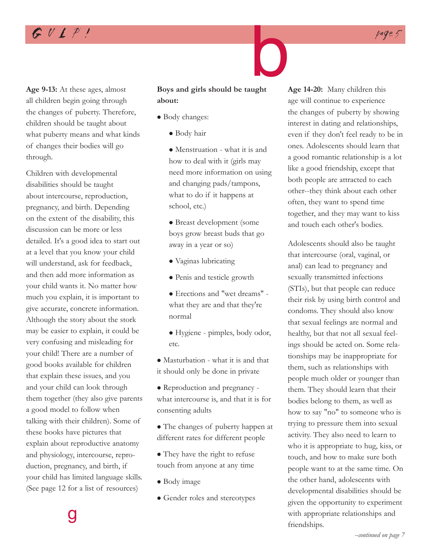**Age 9-13:** At these ages, almost all children begin going through the changes of puberty. Therefore, children should be taught about what puberty means and what kinds of changes their bodies will go through.

Children with developmental disabilities should be taught about intercourse, reproduction, pregnancy, and birth. Depending on the extent of the disability, this discussion can be more or less detailed. It's a good idea to start out at a level that you know your child will understand, ask for feedback, and then add more information as your child wants it. No matter how much you explain, it is important to give accurate, concrete information. Although the story about the stork may be easier to explain, it could be very confusing and misleading for your child! There are a number of good books available for children that explain these issues, and you and your child can look through them together (they also give parents a good model to follow when talking with their children). Some of these books have pictures that explain about reproductive anatomy and physiology, intercourse, reproduction, pregnancy, and birth, if your child has limited language skills. (See page 12 for a list of resources)

g

# **Boys and girls should be taught about:** b

- Body changes:
	- Body hair

• Menstruation - what it is and how to deal with it (girls may need more information on using and changing pads/tampons, what to do if it happens at school, etc.)

- Breast development (some boys grow breast buds that go away in a year or so)
- Vaginas lubricating
- Penis and testicle growth
- <sup>z</sup> Erections and "wet dreams" what they are and that they're normal
- Hygiene pimples, body odor, etc.

• Masturbation - what it is and that it should only be done in private

• Reproduction and pregnancy what intercourse is, and that it is for consenting adults

• The changes of puberty happen at different rates for different people

- They have the right to refuse touch from anyone at any time
- Body image
- Gender roles and stereotypes

**Age 14-20:** Many children this age will continue to experience the changes of puberty by showing interest in dating and relationships, even if they don't feel ready to be in ones. Adolescents should learn that a good romantic relationship is a lot like a good friendship, except that both people are attracted to each other--they think about each other often, they want to spend time together, and they may want to kiss and touch each other's bodies.

Adolescents should also be taught that intercourse (oral, vaginal, or anal) can lead to pregnancy and sexually transmitted infections (STIs), but that people can reduce their risk by using birth control and condoms. They should also know that sexual feelings are normal and healthy, but that not all sexual feelings should be acted on. Some relationships may be inappropriate for them, such as relationships with people much older or younger than them. They should learn that their bodies belong to them, as well as how to say "no" to someone who is trying to pressure them into sexual activity. They also need to learn to who it is appropriate to hug, kiss, or touch, and how to make sure both people want to at the same time. On the other hand, adolescents with developmental disabilities should be given the opportunity to experiment with appropriate relationships and friendships.



# $GULPI$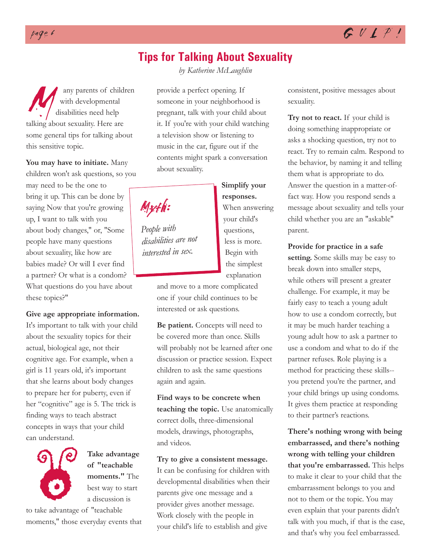### **Tips for Talking About Sexuality**

M any parents of children<br>
with developmental<br>
disabilities need help<br>
talking about sexuality. Here are with developmental disabilities need help some general tips for talking about this sensitive topic.

**You may have to initiate.** Many children won't ask questions, so you may need to be the one to bring it up. This can be done by saying Now that you're growing up, I want to talk with you about body changes," or, "Some people have many questions about sexuality, like how are babies made? Or will I ever find a partner? Or what is a condom? What questions do you have about these topics?"

**Give age appropriate information.** It's important to talk with your child about the sexuality topics for their actual, biological age, not their cognitive age. For example, when a girl is 11 years old, it's important that she learns about body changes to prepare her for puberty, even if

her "cognitive" age is 5. The trick is finding ways to teach abstract concepts in ways that your child can understand.



**Take advantage of "teachable moments."** The best way to start a discussion is

moments," those everyday events that

*by Katherine McLaughlin*

provide a perfect opening. If someone in your neighborhood is pregnant, talk with your child about it. If you're with your child watching a television show or listening to music in the car, figure out if the contents might spark a conversation about sexuality.

> **Simplify your responses.**

When answering your child's questions, less is more. Begin with the simplest explanation



*People with disabilities are not interested in sex.*

> and move to a more complicated one if your child continues to be interested or ask questions.

**Be patient.** Concepts will need to be covered more than once. Skills will probably not be learned after one discussion or practice session. Expect children to ask the same questions again and again.

**Find ways to be concrete when teaching the topic.** Use anatomically correct dolls, three-dimensional models, drawings, photographs, and videos.

**Try to give a consistent message.** It can be confusing for children with developmental disabilities when their parents give one message and a provider gives another message. Work closely with the people in your child's life to establish and give

consistent, positive messages about sexuality.

**Try not to react.** If your child is doing something inappropriate or asks a shocking question, try not to react. Try to remain calm. Respond to the behavior, by naming it and telling them what is appropriate to do. Answer the question in a matter-offact way. How you respond sends a message about sexuality and tells your child whether you are an "askable" parent.

**Provide for practice in a safe setting.** Some skills may be easy to break down into smaller steps, while others will present a greater challenge. For example, it may be fairly easy to teach a young adult how to use a condom correctly, but it may be much harder teaching a young adult how to ask a partner to use a condom and what to do if the partner refuses. Role playing is a method for practicing these skills- you pretend you're the partner, and your child brings up using condoms. It gives them practice at responding to their partner's reactions.

**There's nothing wrong with being embarrassed, and there's nothing wrong with telling your children that you're embarrassed.** This helps to make it clear to your child that the embarrassment belongs to you and not to them or the topic. You may even explain that your parents didn't talk with you much, if that is the case, and that's why you feel embarrassed.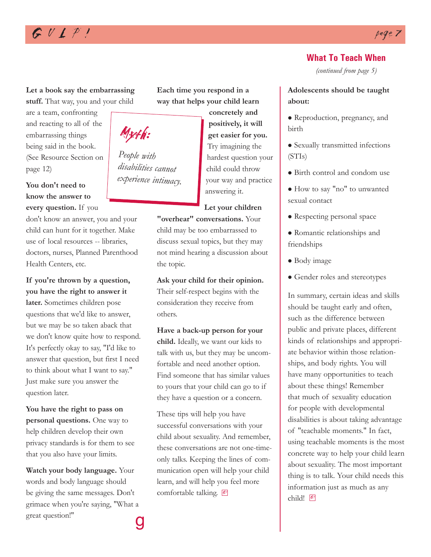# $G \cup L$   $P$   $p$

#### **Let a book say the embarrassing**

**stuff.** That way, you and your child

are a team, confronting and reacting to all of the embarrassing things being said in the book. (See Resource Section on page 12)

**You don't need to know the answer to every question.** If you

don't know an answer, you and your child can hunt for it together. Make use of local resources -- libraries, doctors, nurses, Planned Parenthood Health Centers, etc.

**If you're thrown by a question, you have the right to answer it**

**later.** Sometimes children pose questions that we'd like to answer, but we may be so taken aback that we don't know quite how to respond. It's perfectly okay to say, "I'd like to answer that question, but first I need to think about what I want to say." Just make sure you answer the question later.

**You have the right to pass on personal questions.** One way to help children develop their own privacy standards is for them to see that you also have your limits.

**Watch your body language.** Your words and body language should be giving the same messages. Don't grimace when you're saying, "What a great question!" g **Each time you respond in a way that helps your child learn**

> **concretely and positively, it will get easier for you.** Try imagining the hardest question your child could throw your way and practice answering it.

#### **Let your children**

**"overhear" conversations.** Your child may be too embarrassed to discuss sexual topics, but they may not mind hearing a discussion about the topic.

**Ask your child for their opinion.** Their self-respect begins with the consideration they receive from others.

**Have a back-up person for your child.** Ideally, we want our kids to talk with us, but they may be uncomfortable and need another option. Find someone that has similar values to yours that your child can go to if they have a question or a concern.

These tips will help you have successful conversations with your child about sexuality. And remember, these conversations are not one-timeonly talks. Keeping the lines of communication open will help your child learn, and will help you feel more comfortable talking.

#### **What To Teach When**

*(continued from page 5)*

#### **Adolescents should be taught about:**

- Reproduction, pregnancy, and birth
- Sexually transmitted infections (STIs)
- Birth control and condom use
- How to say "no" to unwanted sexual contact
- Respecting personal space
- Romantic relationships and friendships
- Body image
- Gender roles and stereotypes

In summary, certain ideas and skills should be taught early and often, such as the difference between public and private places, different kinds of relationships and appropriate behavior within those relationships, and body rights. You will have many opportunities to teach about these things! Remember that much of sexuality education for people with developmental disabilities is about taking advantage of "teachable moments." In fact, using teachable moments is the most concrete way to help your child learn about sexuality. The most important thing is to talk. Your child needs this information just as much as any child! <sup>G!</sup>



*People with disabilities cannot*

*experience intimacy.*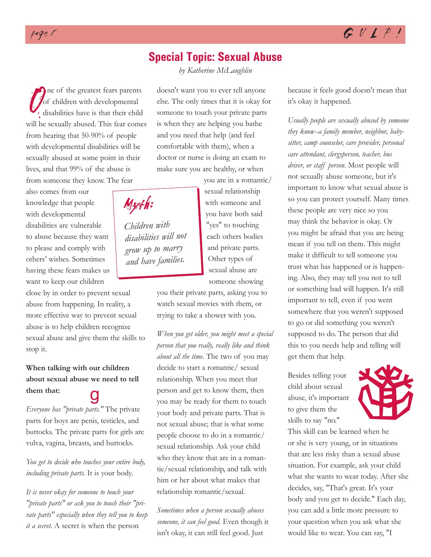### **Special Topic: Sexual Abuse**

*by Katherine McLaughlin*

Of children with developmental<br>will be sexually abused. This fear comes ne of the greatest fears parents for children with developmental disabilities have is that their child from hearing that 50-90% of people with developmental disabilities will be sexually abused at some point in their lives, and that 99% of the abuse is from someone they know. The fear

also comes from our knowledge that people with developmental disabilities are vulnerable to abuse because they want to please and comply with others' wishes. Sometimes having these fears makes us want to keep our children

close by in order to prevent sexual abuse from happening. In reality, a more effective way to prevent sexual abuse is to help children recognize sexual abuse and give them the skills to stop it.

#### **When talking with our children about sexual abuse we need to tell them that:**

*Everyone has "private parts."* The private parts for boys are penis, testicles, and buttocks. The private parts for girls are vulva, vagina, breasts, and buttocks.

*You get to decide who touches your entire body, including private parts.* It is your body.

*It is never okay for someone to touch your "private parts" or ask you to touch their "private parts" especially when they tell you to keep it a secret.* A secret is when the person

doesn't want you to ever tell anyone else. The only times that it is okay for someone to touch your private parts is when they are helping you bathe and you need that help (and feel comfortable with them), when a doctor or nurse is doing an exam to make sure you are healthy, or when

Myth:

*Children with disabilities will not grow up to marry and have families.*

sexual relationship with someone and you have both said "yes" to touching each others bodies and private parts. Other types of sexual abuse are someone showing

you are in a romantic/

you their private parts, asking you to watch sexual movies with them, or trying to take a shower with you.

*When you get older, you might meet a special person that you really, really like and think about all the time.* The two of you may decide to start a romantic/ sexual relationship. When you meet that person and get to know them, then you may be ready for them to touch your body and private parts. That is not sexual abuse; that is what some people choose to do in a romantic/ sexual relationship. Ask your child who they know that are in a romantic/sexual relationship, and talk with him or her about what makes that relationship romantic/sexual. our children<br>
we need to tell<br>
relationship. When you meet that<br>
person and get to know them, then<br>
you may be ready for them to touch<br>
you may be ready for them to touch<br>
your body and private parts. That is<br>
to give them

> *Sometimes when a person sexually abuses someone, it can feel good.* Even though it isn't okay, it can still feel good. Just

because it feels good doesn't mean that it's okay it happened.

*Usually people are sexually abused by someone they know--a family member, neighbor, babysitter, camp counselor, care provider, personal care attendant, clergyperson, teacher, bus driver, or staff person.* Most people will not sexually abuse someone, but it's important to know what sexual abuse is so you can protect yourself. Many times these people are very nice so you may think the behavior is okay. Or you might be afraid that you are being mean if you tell on them. This might make it difficult to tell someone you trust what has happened or is happening. Also, they may tell you not to tell or something bad will happen. It's still important to tell, even if you went somewhere that you weren't supposed to go or did something you weren't supposed to do. The person that did this to you needs help and telling will get them that help.

Besides telling your child about sexual abuse, it's important to give them the skills to say "no."



This skill can be learned when he or she is very young, or in situations that are less risky than a sexual abuse situation. For example, ask your child what she wants to wear today. After she decides, say, "That's great. It's your body and you get to decide." Each day, you can add a little more pressure to your question when you ask what she would like to wear. You can say, "I



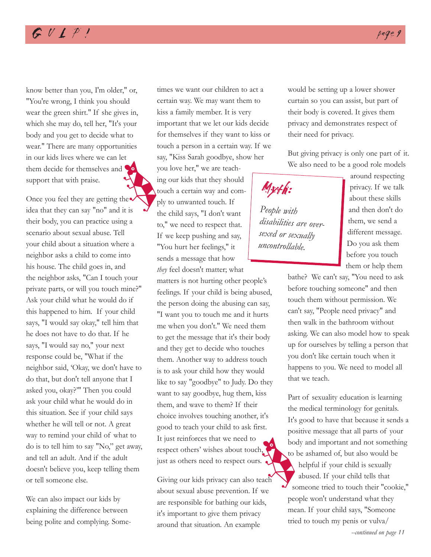# $GULPI$

know better than you, I'm older," or, "You're wrong, I think you should wear the green shirt." If she gives in, which she may do, tell her, "It's your body and you get to decide what to wear." There are many opportunities in our kids lives where we can let them decide for themselves and support that with praise. and some the state of the state of the state of the state of the state of the state of the state of the state of the state of the state of the state of the state of the state of the state of the state of the state of the s

Once you feel they are getting the idea that they can say "no" and it is their body, you can practice using a scenario about sexual abuse. Tell your child about a situation where a neighbor asks a child to come into his house. The child goes in, and the neighbor asks, "Can I touch your private parts, or will you touch mine?" Ask your child what he would do if this happened to him. If your child says, "I would say okay," tell him that he does not have to do that. If he says, "I would say no," your next response could be, "What if the neighbor said, 'Okay, we don't have to do that, but don't tell anyone that I asked you, okay?'" Then you could ask your child what he would do in this situation. See if your child says whether he will tell or not. A great way to remind your child of what to do is to tell him to say "No," get away, and tell an adult. And if the adult doesn't believe you, keep telling them or tell someone else.

We can also impact our kids by explaining the difference between being polite and complying. Sometimes we want our children to act a certain way. We may want them to kiss a family member. It is very important that we let our kids decide for themselves if they want to kiss or touch a person in a certain way. If we say, "Kiss Sarah goodbye, show her

you love her," we are teaching our kids that they should touch a certain way and comply to unwanted touch. If the child says, "I don't want to," we need to respect that. If we keep pushing and say, "You hurt her feelings," it sends a message that how *they* feel doesn't matter; what

matters is not hurting other people's feelings. If your child is being abused, the person doing the abusing can say, "I want you to touch me and it hurts me when you don't." We need them to get the message that it's their body and they get to decide who touches them. Another way to address touch is to ask your child how they would like to say "goodbye" to Judy. Do they want to say goodbye, hug them, kiss them, and wave to them? If their choice involves touching another, it's good to teach your child to ask first. It just reinforces that we need to respect others' wishes about touch, just as others need to respect ours.

Giving our kids privacy can also teach about sexual abuse prevention. If we are responsible for bathing our kids, it's important to give them privacy around that situation. An example

would be setting up a lower shower curtain so you can assist, but part of their body is covered. It gives them privacy and demonstrates respect of their need for privacy.

But giving privacy is only one part of it. We also need to be a good role models

Myth:

*People with disabilities are oversexed or sexually uncontrollable.*

around respecting privacy. If we talk about these skills and then don't do them, we send a different message. Do you ask them before you touch them or help them

bathe? We can't say, "You need to ask before touching someone" and then touch them without permission. We can't say, "People need privacy" and then walk in the bathroom without asking. We can also model how to speak up for ourselves by telling a person that you don't like certain touch when it happens to you. We need to model all that we teach.

Part of sexuality education is learning the medical terminology for genitals. It's good to have that because it sends a positive message that all parts of your body and important and not something to be ashamed of, but also would be helpful if your child is sexually abused. If your child tells that someone tried to touch their "cookie," people won't understand what they mean. If your child says, "Someone tried to touch my penis or vulva/ to body<br>to be<br>teach<br>the some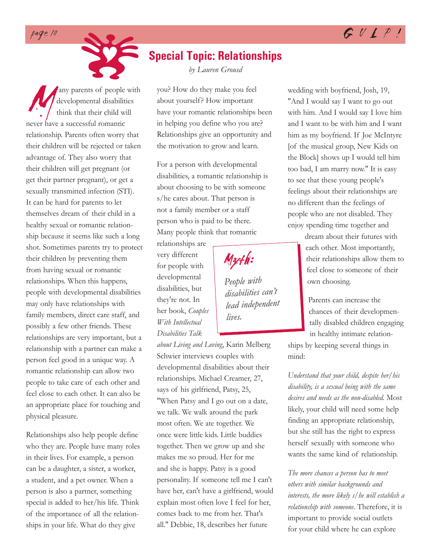





Many parents of people with<br>developmental disabilities<br>think that their child will<br>never have a successful romantic developmental disabilities think that their child will relationship. Parents often worry that their children will be rejected or taken advantage of. They also worry that their children will get pregnant (or get their partner pregnant), or get a sexually transmitted infection (STI). It can be hard for parents to let themselves dream of their child in a healthy sexual or romantic relationship because it seems like such a long shot. Sometimes parents try to protect their children by preventing them from having sexual or romantic relationships. When this happens, people with developmental disabilities may only have relationships with family members, direct care staff, and possibly a few other friends. These relationships are very important, but a relationship with a partner can make a person feel good in a unique way. A romantic relationship can allow two people to take care of each other and feel close to each other. It can also be an appropriate place for touching and physical pleasure. any parents of people with

Relationships also help people define who they are. People have many roles in their lives. For example, a person can be a daughter, a sister, a worker, a student, and a pet owner. When a person is also a partner, something special is added to her/his life. Think of the importance of all the relationships in your life. What do they give

# **Special Topic: Relationships**

*by Lauren Grousd*

you? How do they make you feel about yourself? How important have your romantic relationships been in helping you define who you are? Relationships give an opportunity and the motivation to grow and learn.

For a person with developmental disabilities, a romantic relationship is about choosing to be with someone s/he cares about. That person is not a family member or a staff person who is paid to be there. Many people think that romantic

relationships are very different for people with developmental disabilities, but they're not. In her book, *Couples With Intellectual Disabilities Talk*

*People with disabilities can't lead independent lives.*

Myth:

*about Living and Loving*, Karin Melberg Schwier interviews couples with developmental disabilities about their relationships. Michael Creamer, 27, says of his girlfriend, Patsy, 25, "When Patsy and I go out on a date, we talk. We walk around the park most often. We ate together. We once were little kids. Little buddies together. Then we grow up and she makes me so proud. Her for me and she is happy. Patsy is a good personality. If someone tell me I can't have her, can't have a girlfriend, would explain most often love I feel for her, comes back to me from her. That's all." Debbie, 18, describes her future

wedding with boyfriend, Josh, 19, "And I would say I want to go out with him. And I would say I love him and I want to be with him and I want him as my boyfriend. If Joe McIntyre [of the musical group, New Kids on the Block] shows up I would tell him too bad, I am marry now." It is easy to see that these young people's feelings about their relationships are no different than the feelings of people who are not disabled. They enjoy spending time together and

> dream about their futures with each other. Most importantly, their relationships allow them to feel close to someone of their own choosing.

Parents can increase the chances of their developmentally disabled children engaging in healthy intimate relation-

ships by keeping several things in mind:

*Understand that your child, despite her/his disability, is a sexual being with the same desires and needs as the non-disabled.* Most likely, your child will need some help finding an appropriate relationship, but she still has the right to express herself sexually with someone who wants the same kind of relationship.

*The more chances a person has to meet others with similar backgrounds and interests, the more likely s/he will establish a relationship with someone.* Therefore, it is important to provide social outlets for your child where he can explore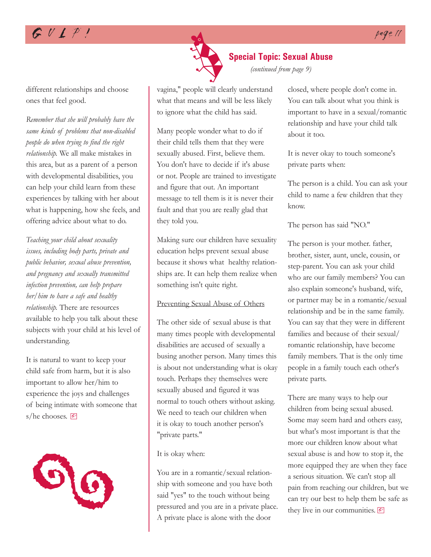# $GULP!$



vagina," people will clearly understand what that means and will be less likely to ignore what the child has said.

Many people wonder what to do if their child tells them that they were sexually abused. First, believe them. You don't have to decide if it's abuse or not. People are trained to investigate and figure that out. An important message to tell them is it is never their fault and that you are really glad that they told you.

Making sure our children have sexuality education helps prevent sexual abuse because it shows what healthy relationships are. It can help them realize when something isn't quite right.

#### Preventing Sexual Abuse of Others

The other side of sexual abuse is that many times people with developmental disabilities are accused of sexually a busing another person. Many times this is about not understanding what is okay touch. Perhaps they themselves were sexually abused and figured it was normal to touch others without asking. We need to teach our children when it is okay to touch another person's "private parts."

#### It is okay when:

You are in a romantic/sexual relationship with someone and you have both said "yes" to the touch without being pressured and you are in a private place. A private place is alone with the door

closed, where people don't come in. You can talk about what you think is important to have in a sexual/romantic relationship and have your child talk about it too.

*(continued from page 9)*

It is never okay to touch someone's private parts when:

The person is a child. You can ask your child to name a few children that they know.

The person has said "NO."

The person is your mother. father, brother, sister, aunt, uncle, cousin, or step-parent. You can ask your child who are our family members? You can also explain someone's husband, wife, or partner may be in a romantic/sexual relationship and be in the same family. You can say that they were in different families and because of their sexual/ romantic relationship, have become family members. That is the only time people in a family touch each other's private parts.

There are many ways to help our children from being sexual abused. Some may seem hard and others easy, but what's most important is that the more our children know about what sexual abuse is and how to stop it, the more equipped they are when they face a serious situation. We can't stop all pain from reaching our children, but we can try our best to help them be safe as they live in our communities.  $\boxed{\mathscr{C}}$ 

different relationships and choose ones that feel good.

*Remember that she will probably have the same kinds of problems that non-disabled people do when trying to find the right relationship.* We all make mistakes in this area, but as a parent of a person with developmental disabilities, you can help your child learn from these experiences by talking with her about what is happening, how she feels, and offering advice about what to do.

*Teaching your child about sexuality issues, including body parts, private and public behavior, sexual abuse prevention, and pregnancy and sexually transmitted infection prevention, can help prepare her/him to have a safe and healthy relationship.* There are resources available to help you talk about these subjects with your child at his level of understanding.

It is natural to want to keep your child safe from harm, but it is also important to allow her/him to experience the joys and challenges of being intimate with someone that s/he chooses.  $\boxed{\mathcal{C}}$